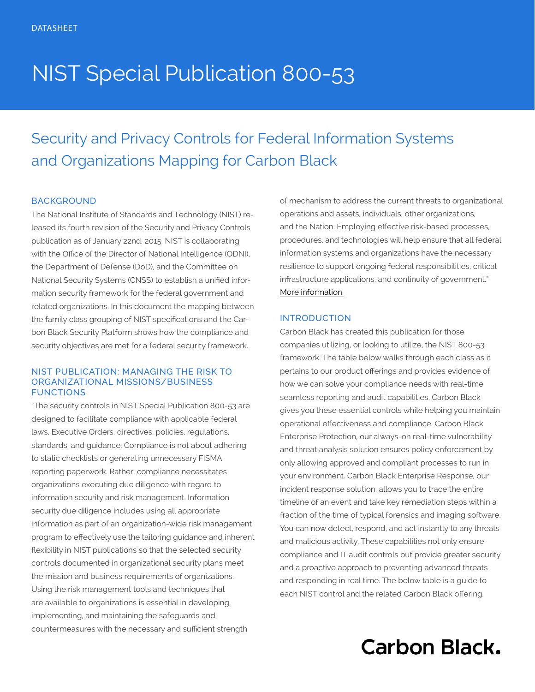# NIST Special Publication 800-53

## Security and Privacy Controls for Federal Information Systems and Organizations Mapping for Carbon Black

#### **BACKGROUND**

The National Institute of Standards and Technology (NIST) released its fourth revision of the Security and Privacy Controls publication as of January 22nd, 2015. NIST is collaborating with the Office of the Director of National Intelligence (ODNI), the Department of Defense (DoD), and the Committee on National Security Systems (CNSS) to establish a unified information security framework for the federal government and related organizations. In this document the mapping between the family class grouping of NIST specifications and the Carbon Black Security Platform shows how the compliance and security objectives are met for a federal security framework.

#### NIST PUBLICATION: MANAGING THE RISK TO ORGANIZATIONAL MISSIONS/BUSINESS **FUNCTIONS**

"The security controls in NIST Special Publication 800-53 are designed to facilitate compliance with applicable federal laws, Executive Orders, directives, policies, regulations, standards, and guidance. Compliance is not about adhering to static checklists or generating unnecessary FISMA reporting paperwork. Rather, compliance necessitates organizations executing due diligence with regard to information security and risk management. Information security due diligence includes using all appropriate information as part of an organization-wide risk management program to effectively use the tailoring guidance and inherent flexibility in NIST publications so that the selected security controls documented in organizational security plans meet the mission and business requirements of organizations. Using the risk management tools and techniques that are available to organizations is essential in developing, implementing, and maintaining the safeguards and countermeasures with the necessary and sufficient strength

of mechanism to address the current threats to organizational operations and assets, individuals, other organizations, and the Nation. Employing effective risk-based processes, procedures, and technologies will help ensure that all federal information systems and organizations have the necessary resilience to support ongoing federal responsibilities, critical infrastructure applications, and continuity of government." [More information.](http://nvlpubs.nist.gov/nistpubs/SpecialPublications/NIST.SP.800-53r4.pdf)

#### INTRODUCTION

Carbon Black has created this publication for those companies utilizing, or looking to utilize, the NIST 800-53 framework. The table below walks through each class as it pertains to our product offerings and provides evidence of how we can solve your compliance needs with real-time seamless reporting and audit capabilities. Carbon Black gives you these essential controls while helping you maintain operational effectiveness and compliance. Carbon Black Enterprise Protection, our always-on real-time vulnerability and threat analysis solution ensures policy enforcement by only allowing approved and compliant processes to run in your environment. Carbon Black Enterprise Response, our incident response solution, allows you to trace the entire timeline of an event and take key remediation steps within a fraction of the time of typical forensics and imaging software. You can now detect, respond, and act instantly to any threats and malicious activity. These capabilities not only ensure compliance and IT audit controls but provide greater security and a proactive approach to preventing advanced threats and responding in real time. The below table is a guide to each NIST control and the related Carbon Black offering.

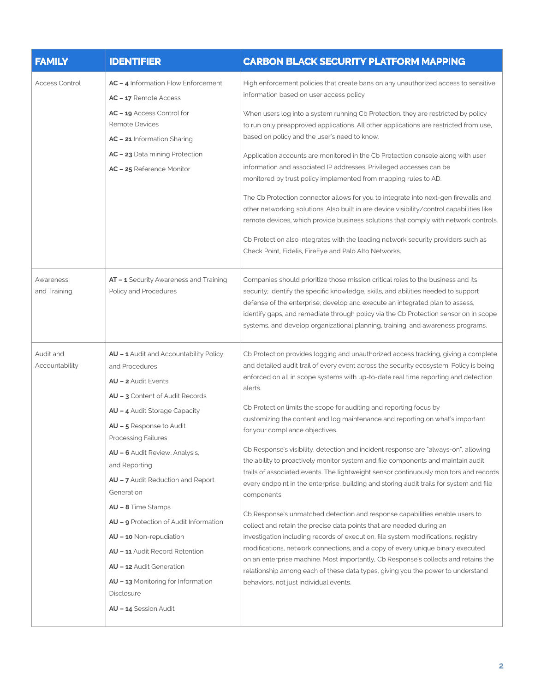| <b>FAMILY</b>               | <b>IDENTIFIER</b>                                                                                                                                                                                                                                                                                                                                                                                                                                                                                                                                                                | <b>CARBON BLACK SECURITY PLATFORM MAPPING</b>                                                                                                                                                                                                                                                                                                                                                                                                                                                                                                                                                                                                                                                                                                                                                                                                                                                                                                                                                                                                                                                                                                                                                                                                                                                                                                                                                          |
|-----------------------------|----------------------------------------------------------------------------------------------------------------------------------------------------------------------------------------------------------------------------------------------------------------------------------------------------------------------------------------------------------------------------------------------------------------------------------------------------------------------------------------------------------------------------------------------------------------------------------|--------------------------------------------------------------------------------------------------------------------------------------------------------------------------------------------------------------------------------------------------------------------------------------------------------------------------------------------------------------------------------------------------------------------------------------------------------------------------------------------------------------------------------------------------------------------------------------------------------------------------------------------------------------------------------------------------------------------------------------------------------------------------------------------------------------------------------------------------------------------------------------------------------------------------------------------------------------------------------------------------------------------------------------------------------------------------------------------------------------------------------------------------------------------------------------------------------------------------------------------------------------------------------------------------------------------------------------------------------------------------------------------------------|
| <b>Access Control</b>       | AC - 4 Information Flow Enforcement<br>AC - 17 Remote Access<br>AC - 19 Access Control for<br>Remote Devices<br>AC - 21 Information Sharing<br>AC - 23 Data mining Protection<br>AC - 25 Reference Monitor                                                                                                                                                                                                                                                                                                                                                                       | High enforcement policies that create bans on any unauthorized access to sensitive<br>information based on user access policy.<br>When users log into a system running Cb Protection, they are restricted by policy<br>to run only preapproved applications. All other applications are restricted from use,<br>based on policy and the user's need to know.<br>Application accounts are monitored in the Cb Protection console along with user<br>information and associated IP addresses. Privileged accesses can be<br>monitored by trust policy implemented from mapping rules to AD.<br>The Cb Protection connector allows for you to integrate into next-gen firewalls and<br>other networking solutions. Also built in are device visibility/control capabilities like<br>remote devices, which provide business solutions that comply with network controls.<br>Cb Protection also integrates with the leading network security providers such as<br>Check Point, Fidelis, FireEye and Palo Alto Networks.                                                                                                                                                                                                                                                                                                                                                                                     |
| Awareness<br>and Training   | AT - 1 Security Awareness and Training<br>Policy and Procedures                                                                                                                                                                                                                                                                                                                                                                                                                                                                                                                  | Companies should prioritize those mission critical roles to the business and its<br>security; identify the specific knowledge, skills, and abilities needed to support<br>defense of the enterprise; develop and execute an integrated plan to assess,<br>identify gaps, and remediate through policy via the Cb Protection sensor on in scope<br>systems, and develop organizational planning, training, and awareness programs.                                                                                                                                                                                                                                                                                                                                                                                                                                                                                                                                                                                                                                                                                                                                                                                                                                                                                                                                                                      |
| Audit and<br>Accountability | AU - 1 Audit and Accountability Policy<br>and Procedures<br><b>AU - 2</b> Audit Events<br>AU - 3 Content of Audit Records<br>AU - 4 Audit Storage Capacity<br>AU - 5 Response to Audit<br><b>Processing Failures</b><br>AU - 6 Audit Review, Analysis,<br>and Reporting<br>AU - 7 Audit Reduction and Report<br>Generation<br>$AU - 8$ Time Stamps<br>AU - 9 Protection of Audit Information<br>AU - 10 Non-repudiation<br><b>AU - 11</b> Audit Record Retention<br>AU - 12 Audit Generation<br>AU - 13 Monitoring for Information<br><b>Disclosure</b><br>AU - 14 Session Audit | Cb Protection provides logging and unauthorized access tracking, giving a complete<br>and detailed audit trail of every event across the security ecosystem. Policy is being<br>enforced on all in scope systems with up-to-date real time reporting and detection<br>alerts.<br>Cb Protection limits the scope for auditing and reporting focus by<br>customizing the content and log maintenance and reporting on what's important<br>for your compliance objectives.<br>Cb Response's visibility, detection and incident response are "always-on", allowing<br>the ability to proactively monitor system and file components and maintain audit<br>trails of associated events. The lightweight sensor continuously monitors and records<br>every endpoint in the enterprise, building and storing audit trails for system and file<br>components.<br>Cb Response's unmatched detection and response capabilities enable users to<br>collect and retain the precise data points that are needed during an<br>investigation including records of execution, file system modifications, registry<br>modifications, network connections, and a copy of every unique binary executed<br>on an enterprise machine. Most importantly, Cb Response's collects and retains the<br>relationship among each of these data types, giving you the power to understand<br>behaviors, not just individual events. |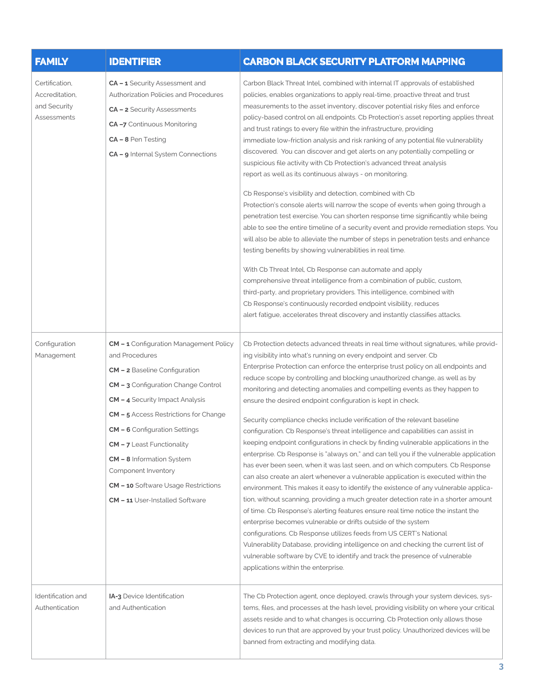| <b>FAMILY</b>                                                   | <b>IDENTIFIER</b>                                                                                                                                                                                                                                                                                                                                                                                                                                            | <b>CARBON BLACK SECURITY PLATFORM MAPPING</b>                                                                                                                                                                                                                                                                                                                                                                                                                                                                                                                                                                                                                                                                                                                                                                                                                                                                                                                                                                                                                                                                                                                                                                                                                                                                                                                                                                                                                                                                                                                                                                              |
|-----------------------------------------------------------------|--------------------------------------------------------------------------------------------------------------------------------------------------------------------------------------------------------------------------------------------------------------------------------------------------------------------------------------------------------------------------------------------------------------------------------------------------------------|----------------------------------------------------------------------------------------------------------------------------------------------------------------------------------------------------------------------------------------------------------------------------------------------------------------------------------------------------------------------------------------------------------------------------------------------------------------------------------------------------------------------------------------------------------------------------------------------------------------------------------------------------------------------------------------------------------------------------------------------------------------------------------------------------------------------------------------------------------------------------------------------------------------------------------------------------------------------------------------------------------------------------------------------------------------------------------------------------------------------------------------------------------------------------------------------------------------------------------------------------------------------------------------------------------------------------------------------------------------------------------------------------------------------------------------------------------------------------------------------------------------------------------------------------------------------------------------------------------------------------|
| Certification,<br>Accreditation,<br>and Security<br>Assessments | CA - 1 Security Assessment and<br><b>Authorization Policies and Procedures</b><br>CA - 2 Security Assessments<br>CA-7 Continuous Monitoring<br>$CA - 8$ Pen Testing<br>CA - 9 Internal System Connections                                                                                                                                                                                                                                                    | Carbon Black Threat Intel, combined with internal IT approvals of established<br>policies, enables organizations to apply real-time, proactive threat and trust<br>measurements to the asset inventory, discover potential risky files and enforce<br>policy-based control on all endpoints. Cb Protection's asset reporting applies threat<br>and trust ratings to every file within the infrastructure, providing<br>immediate low-friction analysis and risk ranking of any potential file vulnerability<br>discovered. You can discover and get alerts on any potentially compelling or<br>suspicious file activity with Cb Protection's advanced threat analysis<br>report as well as its continuous always - on monitoring.<br>Cb Response's visibility and detection, combined with Cb<br>Protection's console alerts will narrow the scope of events when going through a<br>penetration test exercise. You can shorten response time significantly while being<br>able to see the entire timeline of a security event and provide remediation steps. You<br>will also be able to alleviate the number of steps in penetration tests and enhance<br>testing benefits by showing vulnerabilities in real time.<br>With Cb Threat Intel, Cb Response can automate and apply<br>comprehensive threat intelligence from a combination of public, custom,<br>third-party, and proprietary providers. This intelligence, combined with<br>Cb Response's continuously recorded endpoint visibility, reduces<br>alert fatigue, accelerates threat discovery and instantly classifies attacks.                              |
| Configuration<br>Management                                     | <b>CM - 1</b> Configuration Management Policy<br>and Procedures<br>CM - 2 Baseline Configuration<br>CM - 3 Configuration Change Control<br><b>CM - 4</b> Security Impact Analysis<br><b>CM - 5</b> Access Restrictions for Change<br><b>CM - 6</b> Configuration Settings<br>$CM - 7$ Least Functionality<br><b>CM - 8</b> Information System<br>Component Inventory<br><b>CM - 10</b> Software Usage Restrictions<br><b>CM - 11 User-Installed Software</b> | Cb Protection detects advanced threats in real time without signatures, while provid-<br>ing visibility into what's running on every endpoint and server. Cb<br>Enterprise Protection can enforce the enterprise trust policy on all endpoints and<br>reduce scope by controlling and blocking unauthorized change, as well as by<br>monitoring and detecting anomalies and compelling events as they happen to<br>ensure the desired endpoint configuration is kept in check.<br>Security compliance checks include verification of the relevant baseline<br>configuration. Cb Response's threat intelligence and capabilities can assist in<br>keeping endpoint configurations in check by finding vulnerable applications in the<br>enterprise. Cb Response is "always on," and can tell you if the vulnerable application<br>has ever been seen, when it was last seen, and on which computers. Cb Response<br>can also create an alert whenever a vulnerable application is executed within the<br>environment. This makes it easy to identify the existence of any vulnerable applica-<br>tion, without scanning, providing a much greater detection rate in a shorter amount<br>of time. Cb Response's alerting features ensure real time notice the instant the<br>enterprise becomes vulnerable or drifts outside of the system<br>configurations. Cb Response utilizes feeds from US CERT's National<br>Vulnerability Database, providing intelligence on and checking the current list of<br>vulnerable software by CVE to identify and track the presence of vulnerable<br>applications within the enterprise. |
| Identification and<br>Authentication                            | <b>IA-3</b> Device Identification<br>and Authentication                                                                                                                                                                                                                                                                                                                                                                                                      | The Cb Protection agent, once deployed, crawls through your system devices, sys-<br>tems, files, and processes at the hash level, providing visibility on where your critical<br>assets reside and to what changes is occurring. Cb Protection only allows those<br>devices to run that are approved by your trust policy. Unauthorized devices will be<br>banned from extracting and modifying data.                                                                                                                                                                                                                                                                                                                                                                                                                                                                                                                                                                                                                                                                                                                                                                                                                                                                                                                                                                                                                                                                                                                                                                                                                      |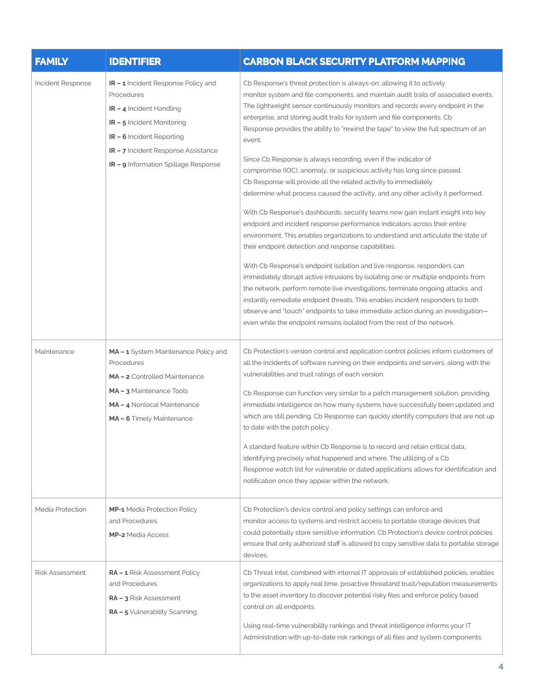| <b>FAMILY</b>          | <b>IDENTIFIER</b>                                                                                                                                                                                                                                   | <b>CARBON BLACK SECURITY PLATFORM MAPPING</b>                                                                                                                                                                                                                                                                                                                                                                                                                                                                                                                                                                                                                                                                                                                                                                                                                                                                                                                                                                                                                                                                                                                                                                                                                                                                                                                                                                                                                                                                                                  |
|------------------------|-----------------------------------------------------------------------------------------------------------------------------------------------------------------------------------------------------------------------------------------------------|------------------------------------------------------------------------------------------------------------------------------------------------------------------------------------------------------------------------------------------------------------------------------------------------------------------------------------------------------------------------------------------------------------------------------------------------------------------------------------------------------------------------------------------------------------------------------------------------------------------------------------------------------------------------------------------------------------------------------------------------------------------------------------------------------------------------------------------------------------------------------------------------------------------------------------------------------------------------------------------------------------------------------------------------------------------------------------------------------------------------------------------------------------------------------------------------------------------------------------------------------------------------------------------------------------------------------------------------------------------------------------------------------------------------------------------------------------------------------------------------------------------------------------------------|
| Incident Response      | <b>IR - 1</b> Incident Response Policy and<br>Procedures<br>$IR - 4$ Incident Handling<br><b>IR-5</b> Incident Monitoring<br><b>IR - 6</b> Incident Reporting<br>IR - 7 Incident Response Assistance<br><b>IR - 9</b> Information Spillage Response | Cb Response's threat protection is always-on, allowing it to actively<br>monitor system and file components, and maintain audit trails of associated events.<br>The lightweight sensor continuously monitors and records every endpoint in the<br>enterprise, and storing audit trails for system and file components. Cb<br>Response provides the ability to "rewind the tape" to view the full spectrum of an<br>event.<br>Since Cb Response is always recording, even if the indicator of<br>compromise (IOC), anomaly, or suspicious activity has long since passed,<br>Cb Response will provide all the related activity to immediately<br>determine what process caused the activity, and any other activity it performed.<br>With Cb Response's dashboards, security teams now gain instant insight into key<br>endpoint and incident response performance indicators across their entire<br>environment. This enables organizations to understand and articulate the state of<br>their endpoint detection and response capabilities.<br>With Cb Response's endpoint isolation and live response, responders can<br>immediately disrupt active intrusions by isolating one or multiple endpoints from<br>the network, perform remote live investigations, terminate ongoing attacks, and<br>instantly remediate endpoint threats. This enables incident responders to both<br>observe and "touch" endpoints to take immediate action during an investigation-<br>even while the endpoint remains isolated from the rest of the network. |
| Maintenance            | MA - 1 System Maintenance Policy and<br>Procedures<br>MA-2 Controlled Maintenance<br>MA-3 Maintenance Tools<br>MA-4 Nonlocal Maintenance<br>MA - 6 Timely Maintenance                                                                               | Cb Protection's version control and application control policies inform customers of<br>all the incidents of software running on their endpoints and servers, along with the<br>vulnerabilities and trust ratings of each version.<br>Cb Response can function very similar to a patch management solution, providing<br>immediate intelligence on how many systems have successfully been updated and<br>which are still pending. Cb Response can quickly identify computers that are not up<br>to date with the patch policy.<br>A standard feature within Cb Response is to record and retain critical data,<br>identifying precisely what happened and where. The utilizing of a Cb<br>Response watch list for vulnerable or dated applications allows for identification and<br>notification once they appear within the network.                                                                                                                                                                                                                                                                                                                                                                                                                                                                                                                                                                                                                                                                                                         |
| Media Protection       | <b>MP-1</b> Media Protection Policy<br>and Procedures<br><b>MP-2</b> Media Access                                                                                                                                                                   | Cb Protection's device control and policy settings can enforce and<br>monitor access to systems and restrict access to portable storage devices that<br>could potentially store sensitive information. Cb Protection's device control policies<br>ensure that only authorized staff is allowed to copy sensitive data to portable storage<br>devices.                                                                                                                                                                                                                                                                                                                                                                                                                                                                                                                                                                                                                                                                                                                                                                                                                                                                                                                                                                                                                                                                                                                                                                                          |
| <b>Risk Assessment</b> | RA - 1 Risk Assessment Policy<br>and Procedures<br><b>RA - 3</b> Risk Assessment<br>RA - 5 Vulnerability Scanning                                                                                                                                   | Cb Threat Intel, combined with internal IT approvals of established policies, enables<br>organizations to apply real time, proactive threatand trust/reputation measurements<br>to the asset inventory to discover potential risky files and enforce policy based<br>control on all endpoints.<br>Using real-time vulnerability rankings and threat intelligence informs your IT<br>Administration with up-to-date risk rankings of all files and system components.                                                                                                                                                                                                                                                                                                                                                                                                                                                                                                                                                                                                                                                                                                                                                                                                                                                                                                                                                                                                                                                                           |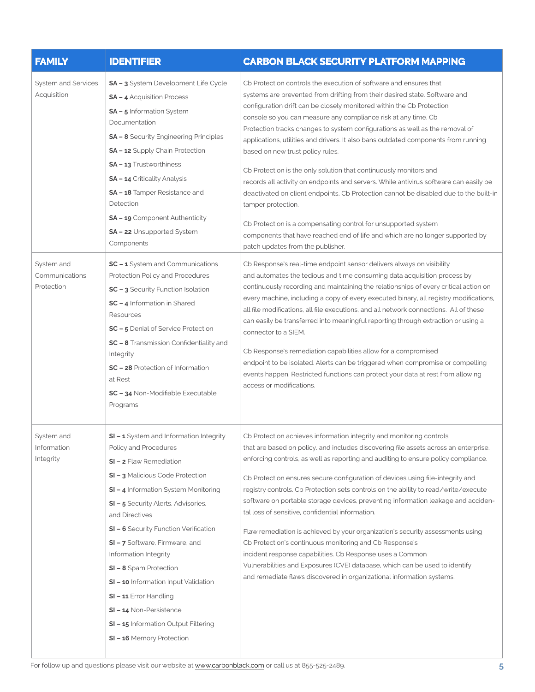| <b>FAMILY</b>                              | <b>IDENTIFIER</b>                                                                                                                                                                                                                                                                                                                                                                                                                                                                                                          | <b>CARBON BLACK SECURITY PLATFORM MAPPING</b>                                                                                                                                                                                                                                                                                                                                                                                                                                                                                                                                                                                                                                                                                                                                                                                                                                                                                                                             |
|--------------------------------------------|----------------------------------------------------------------------------------------------------------------------------------------------------------------------------------------------------------------------------------------------------------------------------------------------------------------------------------------------------------------------------------------------------------------------------------------------------------------------------------------------------------------------------|---------------------------------------------------------------------------------------------------------------------------------------------------------------------------------------------------------------------------------------------------------------------------------------------------------------------------------------------------------------------------------------------------------------------------------------------------------------------------------------------------------------------------------------------------------------------------------------------------------------------------------------------------------------------------------------------------------------------------------------------------------------------------------------------------------------------------------------------------------------------------------------------------------------------------------------------------------------------------|
| System and Services<br>Acquisition         | SA - 3 System Development Life Cycle<br><b>SA - 4</b> Acquisition Process<br>SA - 5 Information System<br>Documentation<br><b>SA - 8</b> Security Engineering Principles<br>SA - 12 Supply Chain Protection<br><b>SA - 13 Trustworthiness</b><br>SA - 14 Criticality Analysis<br>SA - 18 Tamper Resistance and<br>Detection<br>SA - 19 Component Authenticity<br><b>SA - 22</b> Unsupported System<br>Components                                                                                                           | Cb Protection controls the execution of software and ensures that<br>systems are prevented from drifting from their desired state. Software and<br>configuration drift can be closely monitored within the Cb Protection<br>console so you can measure any compliance risk at any time. Cb<br>Protection tracks changes to system configurations as well as the removal of<br>applications, utilities and drivers. It also bans outdated components from running<br>based on new trust policy rules.<br>Cb Protection is the only solution that continuously monitors and<br>records all activity on endpoints and servers. While antivirus software can easily be<br>deactivated on client endpoints, Cb Protection cannot be disabled due to the built-in<br>tamper protection.<br>Cb Protection is a compensating control for unsupported system<br>components that have reached end of life and which are no longer supported by<br>patch updates from the publisher. |
| System and<br>Communications<br>Protection | SC - 1 System and Communications<br>Protection Policy and Procedures<br>SC - 3 Security Function Isolation<br>SC - 4 Information in Shared<br>Resources<br><b>SC - 5</b> Denial of Service Protection<br>SC - 8 Transmission Confidentiality and<br>Integrity<br>SC - 28 Protection of Information<br>at Rest<br>SC - 34 Non-Modifiable Executable<br>Programs                                                                                                                                                             | Cb Response's real-time endpoint sensor delivers always on visibility<br>and automates the tedious and time consuming data acquisition process by<br>continuously recording and maintaining the relationships of every critical action on<br>every machine, including a copy of every executed binary, all registry modifications,<br>all file modifications, all file executions, and all network connections. All of these<br>can easily be transferred into meaningful reporting through extraction or using a<br>connector to a SIEM.<br>Cb Response's remediation capabilities allow for a compromised<br>endpoint to be isolated. Alerts can be triggered when compromise or compelling<br>events happen. Restricted functions can protect your data at rest from allowing<br>access or modifications.                                                                                                                                                              |
| System and<br>Information<br>Integrity     | SI - 1 System and Information Integrity<br>Policy and Procedures<br>SI - 2 Flaw Remediation<br>SI - 3 Malicious Code Protection<br>SI - 4 Information System Monitoring<br>SI - 5 Security Alerts, Advisories,<br>and Directives<br>SI - 6 Security Function Verification<br>SI - 7 Software, Firmware, and<br>Information Integrity<br>SI - 8 Spam Protection<br>SI - 10 Information Input Validation<br>SI-11 Error Handling<br>SI-14 Non-Persistence<br>SI - 15 Information Output Filtering<br>SI-16 Memory Protection | Cb Protection achieves information integrity and monitoring controls<br>that are based on policy, and includes discovering file assets across an enterprise,<br>enforcing controls, as well as reporting and auditing to ensure policy compliance.<br>Cb Protection ensures secure configuration of devices using file-integrity and<br>registry controls. Cb Protection sets controls on the ability to read/write/execute<br>software on portable storage devices, preventing information leakage and acciden-<br>tal loss of sensitive, confidential information.<br>Flaw remediation is achieved by your organization's security assessments using<br>Cb Protection's continuous monitoring and Cb Response's<br>incident response capabilities. Cb Response uses a Common<br>Vulnerabilities and Exposures (CVE) database, which can be used to identify<br>and remediate flaws discovered in organizational information systems.                                    |